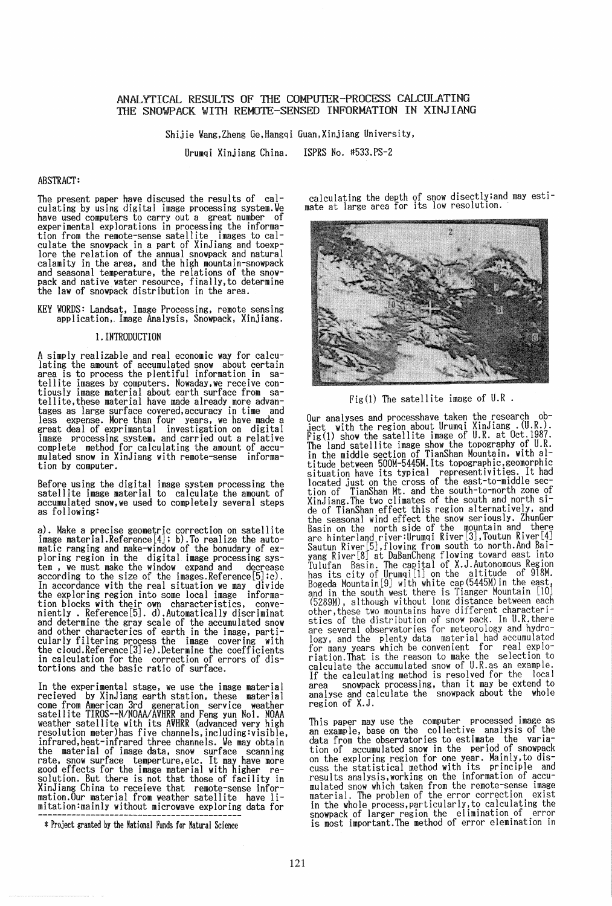# ANALYTICAL RESULTS OF THE COMPUTER-PROCESS CALCULATING THE SNOWPACK WITH REMOTE-SENSED INFORMATION IN XINJIANG

Shijie Wang,Zheng Ge.Hangqi Guan,Xinjiang University,

Urumqi Xinjiang China. ISPRS No. #533.PS-2

## ABSTRACT:

The present paper have discused the results of calculating by using digital image processing system.We have used computers to carry out a great number of experimental explorations in processing the information from the remote-sense satellite images to cal-<br>culate the snowpack in a part of XinJiang and toexpculate the relation of the annual snowpack and natural calamity in the area, and the high mountain-snowpack calamity in the area, and the high mountain-snowpack and seasonal temperature. the relations of the snowpack and native water resource, finally,to determine the law of snowpack distribution in the area.

KEY WORDS: Landsat, Image Processing, remote sensing appl ication,. Image Analysis, Snowpack, Xinj iang.

## I. INTRODUCTION

A simply realizable and real economic way for calculating the amount of accumulated snow about certain area is to process the plentiful information in satellite images by computers. Nowaday,we receive contiously image material about earth surface from sa-tellite,these material have made already more advantages as large surface covered,accuracy in time and less expense. More than four years, we have made a<br>great deal of exprimantal investigation on digital great deal of exprimantal investigation on digital image processing system, and carried out a relative complete method for calculating the amount of accumulated snow in XinJiang with remote-sense information by computer.

Before using the digital image system processing the satellite image material to calculate the amount of accumulated snow,we used to completely several steps as following:

a). Make a precise geometric correction on satellite image material.Reference[4]; b).To realize the automatic ranging and make-window of the bonudary of exploring region in the digital image processing system • we must make the window expand and decrease according to the size of the images.Reference[5];c). In accordance with the real situation we may divide In accordance with the real situation we may divide the exploring region into some local image information blocks with their own characteristics, convemently • Reference[5]. d).Automatically discriminat and determine the gray scale of the accumulated snow and other characterics of earth in the image, parti- cularly filtering process the image covering with the cloud.Reference[3];e).Determine the coefficients in calculation for the correction of errors of distortions and the basic ratio of surface.

In the experimental stage, we use the image material recieved by XinJiang earth station, these material come from American 3rd generation service weather satellite TIROS--N/NOAAlAVHRR and Feng yun Nol. NOAA resolution meter)has five channels.including:visible.<br>infrared.heat-infrared three channels. We may obtain the material of image data, snow surface scanning rate, snow surface temperture, etc. It may have more good effects for the image material with higher resolution. But there is not that those of facility in XinJiang China to receieve that remote-sense infor-mation.Our material from weather satellite have limitation:mainly without microwave exploring data for

\* Project granted by the National Funds for Natural Science

calculating the depth of snow disectly;and may esti-mate at large area for its low resolution ..



Fig(1) The satellite image of  $U.R$ .

Our analyses and processhave taken the research ject with the region about Urumqi XinJiang. (U.R.). Fig(l) show the satellite image of U.R. at Oct. 1987. The land satellite image show the topography of U.R. in the middle section of TianShan Mountain, with altitude between 500M-5445M.Its topographic,geomorphic<br>situation have its typical representivities. It had located just on the cross of the east-to-middle section of TianShan Mt. and the south-to-north zone of XinJiang.The two climates of the south and north side of TianShan effect this region alternatively, and the seasonal wind effect the snow seriously. ZhunGer Basin on the north side of the mountain and there are hinterland river:Urumqi River[3].Toutun River[4]<br>Sautun River[5],flowing from south to north.And Baiyang River[8] at DaBanCheng flowing toward east into Tulufan Basin. The capital of X.J.Autonomous Region has its city of Urumqi[l] on the altitude of 918M. Bogeda Mountain[9] with white cap (5445M) in the east, and in the south west there is Tianger Mountain [10] (5289M), although without long distance between each other,these two mountains have different characteristics of the distribution of snow pack. In U.R.there are several observatories for meteorology and hydroare several observatories for meteorology and hydro- logy, and the plenty data material had accumulated for many years which be convenient for real explo- riation.That is the reason to make the selection to calculate the accumulated snow of U.R.as an example. If the calculating method is resolved for the local area snowpack processing, than it may be extend to analyse and calculate the snowpack about the whole region of X.J.

This paper may use the computer processed image as an example, base on the collective analysis of the data from the observatories to estimate the variation of accumulated snow in the period of snowpack on the exploring region for one year. Mainly,to dis-cuss the statistical method with its principle and results analysis,working on the information of accumulated snow which taken from the remote-sense image material. The problem of the error correction exist in the whole process,particularly,to calculating the snowpack of larger region the elimination of error is most important.The method of error elemination in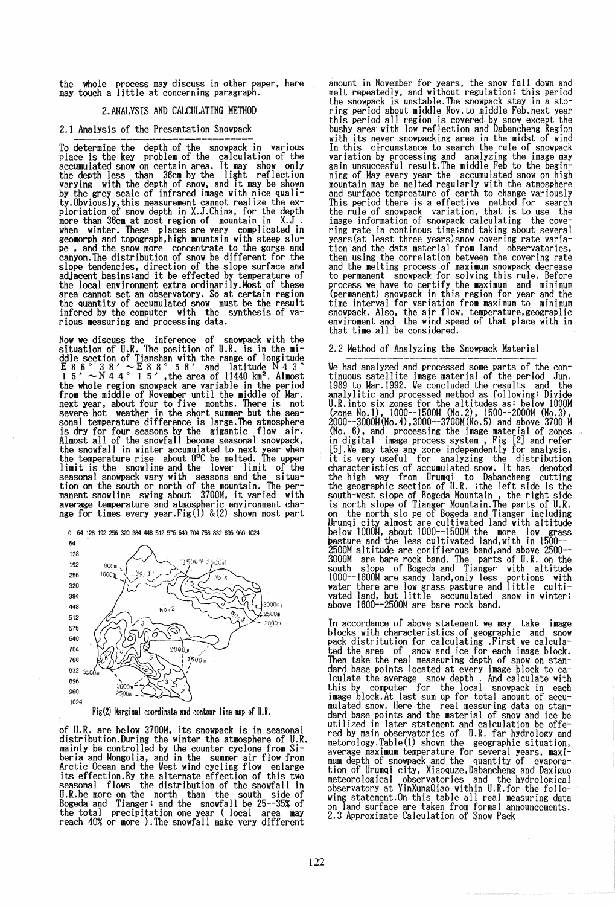the whole process may discuss in other paper, here may touch a little at concerning paragraph.

## 2.ANALYSIS AND CALCULATING METHOD

### 2.1 Analysis of the Presentation Snowpack

To determine the depth of the snowpack in various place is the key problem of the calculation of the accumulated snow on certain area. It may show only the depth less than 36cm by the light reflection the depth less than 36cm by the light reflection<br>varying with the depth of snow, and it may be shown<br>by the grey scale of infrared image with nice qualiby the grey scale of infrared image with nice quali- ty.Obviously,this measurement cannot realize the exploriation of snow depth in X.J.China, for the depth more than 36cm at most region of mountain in X.J. when winter. These places are very complicated in geomorph and topograph,high mountain with steep slope ,.and the snow more concentrate to the gorge and canyon.The distribution of snow be different for the slope tendencies, direction of the slope surface and adjacent basins;and it be effected by temperature of the local environment extra ordinarily.Most of these area cannot set an observatory. So at certain region the quantity of accumulated snow must be the result infered by the computer with the synthesis of various measuring and processing data.

Now we discuss the inference of snowpack with the situation of U.R. The position of U.R. is in the middle section of Tianshan with the range of longitude  $E 8 6° 3 8' \sim E 8 8° 5 8'$  and latitude N 4 3°  $1^{\circ}$  5'  $\sim$  N 4 4  $^{\circ}$  1 5', the area of 11440 km<sup>2</sup>. Almost the whole region snowpack are variable in the period from the middle of November until the middle of Mar. next year, about four to five months. There is not severe hot weather in the short summer but the sea-<br>sonal temperature difference is large. The atmosphere sonal temperature difference is large.The atmosphere is dry for four seasons by the gigantic flow air. Almost all of the snowfall become seasonal snowpack, the snowfall in winter accumulated to next year when the temperature rise about  $0^{\circ}C$  be melted. The upper limit is the snowline and the lower limit of the seasonal snowpack vary with seasons and the situation on the south or north of the mountain. The per- manent snowline swing about 3700M. it varied with average temperature and atmospheric environment change for times every year.Fig(l) &(2) shown most part



Fig(2) Marginal coordinate and contour line map of U.R.

!<br>of U.R. are below 3700M, its snowpack is in seasonal distribution. During the winter the atmosphere of U.R. mainly be controlled by the counter cyclone from Siberia and Mongolia. and in the summer air flow from Arctic Ocean and the West wind cycling flow enlarge its effection.By the alternate effection of this two seasonal flows the distribution of the snowfall in U.R.be more on the north than the south side of Bogeda and Tianger; and the snowfall be 25--35% of the total precipitation one year (local area may reach 40% or more ).The snowfall make very different

amount in November for years, the snow fall down and melt repeatedly, and without regulation; this period the snowpack is unstable.The snowpack stay in a storing period about middle Nov.to middle Feb.next year this period all region is covered by snow except the bushy area with low reflection and Dabancheng Region bushy area with low reflection and bushistones most<br>with its never snowpacking area in the midst of wind<br>In this circumstance to search the rule of snowpack In this circumstance to search the rule of snowpack<br>variation by processing and analyzing the image may<br>gain unsuccesful result. The middle Feb to the begin-<br>ning of May every year the accumulated snow on high<br>mountain may the rule of snowpack variation, that is to use the image information of snowpack calculating the covering rate in continous time;and taking about several years(at least three years)snow covering rate variation and the data material: from land observatories. then using the correlation between the covering rate and the melting process of maximum snowpack decrease to permanent snowpack for solving this rule. Before process we have to certify the maximum and minimum (permanent) snowpack in this region for year and the time interval for variation from maximum to minimum snowpack. Also, the air flow, temperature,geograplic enviroment and the wind speed of that place with in that time all be considered.

### 2.2 Method of Analyzing the Snowpack Material

We had analyzed and processed some parts of the continuous satellite image material of the period Jun. 1989 to Mar. 1992. We concluded the results and the 1989 to Mar.1992. We concluded the results and the<br>analylitic and processed method as following: Divide U.R.into six zones for the altitudes as: below 1000M (zone No.1), 1000--1500M (No.2), 1500--2000M (No.3), 2000--3000M(No.4),3000--3700M(No.5) and above 3700 M (No.6), and processing the image material of zones in digital image process system , Fig [2J and refer [5J.We may take any zone independently for analysis. it is very useful for analyzing the distribution characteristics of accumulated snow. It has denoted the high way from Urumqi to Dabancheng cutting the geographic section of U.R. ;the left side is the south-west slope of Bogeda Mountain, the right side is north slope of Tianger Mountain.The parts of U.R. on the north slo pe of Bogeda and Tianger including Urumqi city almost are cultivated land with altitude below 1000M, about 1000--1500M the more low grass pasture and the less cultivated land, with in 1500--2500M altitude are conifierous band, and above 2500-- 3000M are bare rock band. The parts of U.R. on the south slope of Bogeda and Tianger with altitude 1000--1600M are sandy land. only less portions with water there are low grass pasture and little cultivated land, but little accumulated snow in winter; above 1600-~2500M are bare rock band.

In accordance of above statement we may take image<br>blocks with characteristics of geographic and snow pack distritution for calculating .First we calculated the area of snow and ice for each image block. Then take the real measeuring depth of snow on standard base points located at every image block to calculate the average snow depth . And calculate with this by computer for the local snowpack in each image block.At last sum up for total amount of accumulated snow. Here the real measuring data on standard base points and the material of snow and ice be utilized in later statement and calculation be offered by main observatories of U.R. far hydrology and metorology.Table(l) shown the geographic situation, average maximum temperature for several years, maximum depth of snowpack and the quantity of evapora-<br>tion of Urumqi city, Xiaoquze,Dabancheng and Daxiguo wing statement.On this table all real measuring data on land surface are taken from formal announcements. 2.3 Approximate Calculation of Snow Pack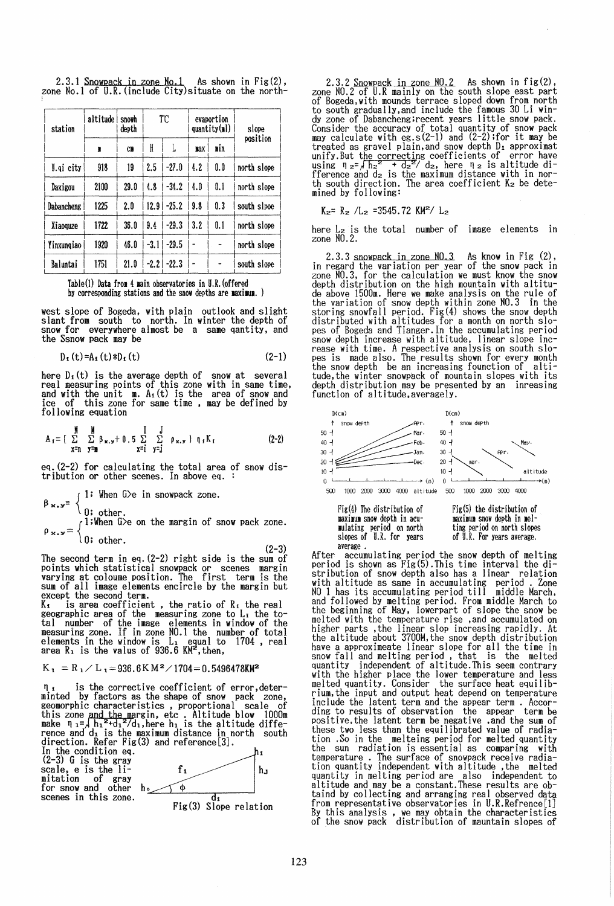2.3.1 Snowpack in zone No.1 As shown in  $Fix(2)$ , zone No.1 of U.R. (include City) situate on the north-

| station    | altitude  <br>snowh<br>depth |           | TC     |         | evaportion<br>quantity(ml) |     | slope       |  |
|------------|------------------------------|-----------|--------|---------|----------------------------|-----|-------------|--|
|            | N                            | <b>CB</b> | H      | L       | max                        | nin | position    |  |
| I.gi city  | 918                          | 19        | 2.5    | $-27.0$ | 4.2                        | 0.0 | north slope |  |
| Daxigou    | 2100                         | 29.0      | 4.8    | $-34.2$ | 4.0                        | 0.1 | north slope |  |
| Dabancheng | 1225                         | 2.0       | 12.9   | $-25.2$ | 9.8                        | 0.3 | south slpoe |  |
| Xiaoquze   | 1722                         | 36.0      | 9.4    | $-29.3$ | 3.2                        | 0.1 | north slope |  |
| Yinxungiao | 1920                         | 46.0      | $-3.1$ | $-29.5$ |                            |     | north slope |  |
| Baluntai   | 1751                         | 21.0      | -2.21  | $-22.3$ |                            |     | south slope |  |



west slope of Bogeda, with plain outlook and slight<br>slant from south to north. In winter the depth of<br>snow for everywhere almost be a same qantity, and the Ssnow pack may be

$$
D_{\mathbf{1}}\left(\mathbf{t}\right) = A_{\mathbf{1}}\left(\mathbf{t}\right) * D_{\mathbf{1}}\left(\mathbf{t}\right) \tag{2-1}
$$

here  $D_i(t)$  is the average depth of snow at several<br>real measuring points of this zone with in same time,<br>and with the unit m.  $A_i(t)$  is the area of snow and<br>ice, of this zone for same time, may be defined by following equation

$$
A_{\mathbf{1}} = \left[ \begin{array}{ccc} \mathbf{M} & \mathbf{M} & \mathbf{I} & \mathbf{J} \\ \Sigma & \Sigma & \mathbf{B}_{\mathbf{x},\mathbf{y}} + \mathbf{0} \cdot \mathbf{5} & \Sigma & \Sigma & \rho_{\mathbf{x},\mathbf{y}} \end{array} \right] \quad \mathbf{q}_{\mathbf{1}} K_{\mathbf{1}} \tag{2-2}
$$

eq. (2-2) for calculating the total area of snow distribution or other scenes. In above eq.

 $\beta_{x,y} = \begin{cases} 1; & \text{when } G \ge 0 \text{ in snowpack zone.} \\ 0; & \text{other.} \\ 0; & \text{when } G \ge 0 \text{ the margin of snow pack zone.} \end{cases}$ <br> $\rho_{x,y} = \begin{cases} 1; & \text{when } G \ge 0 \text{ the margin of snow pack zone.} \\ 0; & \text{other.} \end{cases}$ 

 $(2-3)$ The second term in eq.  $(2-2)$  right side is the sum of<br>points which statistical snowpack or scenes margin<br>varying at coloume position. The first term is the sum of all image elements encircle by the margin but<br>except the second term.<br> $K_t$  is area coefficient, the ratio of  $R_t$  the real<br>geographic area of the measuring zone to  $L_t$  the to-<br>all appropriate in the to-

session window of the image elements in window of the<br>measuring zone. If in zone NO.1 the number of total<br>elements in the window is L<sub>1</sub> equal to 1704, real<br>area R<sub>1</sub> is the valus of 936.6 KM<sup>2</sup>, then,

$$
K_1 = R_1 / L_1 = 936.6 K M^2 / 1704 = 0.5496478 K M^2
$$

is the corrective coefficient of error, deter- $\P_i$  is the corrective coefficient of error, deter-<br>minted by factors as the shape of snow pack zone,<br>geomorphic characteristics, proportional scale of<br>this zone and the margin, etc. Altitude blow 1000m<br>make  $\P_i = \frac{1}{\hbar}$ 





2.3.2 Snowpack in zone  $N0.2$  As shown in fig(2), zone  $N0.2$  of U.R mainly on the south slope east part of Bogeda, with mounds terrace sloped down from north of Bogeda, with mounds terrace sloped down from north<br>to south gradually, and include the famous 30 Li win-<br>dy zone of Dabancheng; recent years little snow pack.<br>Consider the accuracy of total quantity of snow pack<br>may ca mined by following:

 $K_2$  =  $R_2$  /L<sub>2</sub> = 3545.72 KM<sup>2</sup>/ L<sub>2</sub>

here L<sub>2</sub> is the total number of image elements in zone NO.2.

2.3.3 snowpack in zone  $N0.3$  As know in Fig (2), in regard the variation per year of the snow pack in zone  $N0.3$ , for the calculation we must know the snow depth distribution on the high mountain with altitudependent of the mean model and sixtern with a structure<br>the variation of snow depth within zone NO.3 in the<br>storing snowfall period. Fig(4) shows the snow depth<br>distributed with altitudes for a month on north slopes<br>of Bo pes or bogeda and Tianger. In the accumulating period<br>snow depth increase with altitude, linear slope inc-<br>rease with time. A respective analysis on south slo-<br>pes is made also. The results shown for every month<br>the snow d



mulating period on north slopes of U.R. for years average.

ting period on north slopes<br>of U.R. For years average.

After accumulating period the snow depth of melting<br>period is shown as Fig(5). This time interval the diperiod is shown as fig(5).inis time interval the di-<br>stribution of snow depth also has a linear relation<br>with altitude as same in accumulating period. Zone<br>NO 1 has its accumulating period till middle March,<br>and followed b have a approximeate linear slope for all the time in<br>snow fall and melting period, that is the melted<br>quantity independent of altitude. This seem contrary<br>with the higher place the lower temperature and less<br>melted quanti melted quantity. Consider the surface heat equilib-<br>rium, the input and output heat depend on temperature include the latent term and the appear term. According to results of observation the appear term be positive, the latent term be negative, and the sum of<br>these two less than the equilibrated value of radiation .So in the melteing period for melted quantity the sun radiation is essential as comparing with the sun radiation is essential as comparing with<br>temperature. The surface of showpack receive radia-<br>tion quantity in melting period are also independent to<br>altitude and may be a constant.These results are ob-<br>taind by col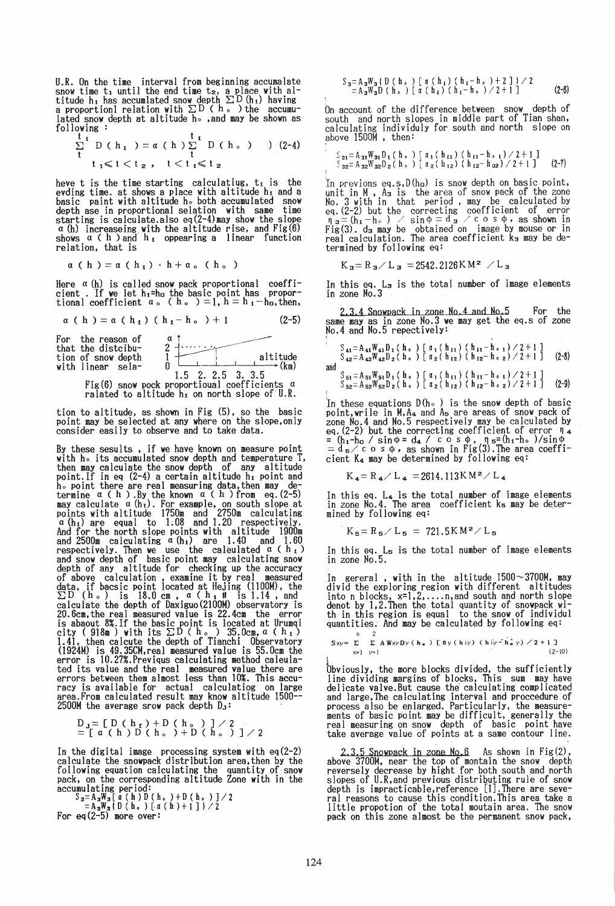U.R. On the time interval from beginning accumalate snow time  $t_1$  until the end time  $t_2$ , a place with altitude h<sub>i</sub> has accumlated snow depth  $\Sigma D$  (h<sub>i</sub>) having a proportionl relation with  $\Sigma D$  ( h. ) the accumulated snow depth at altitude ho , and may be shown as U.R. On the time interval from begins<br>
show time ti until the end time tz, a<br>
titude h<sub>1</sub> has accumlated show depth  $\Sigma$ <br>
lated snow depth at altitude h<sub>0</sub>, and<br>
lated snow depth at altitude h<sub>0</sub>, and<br>
following :<br>  $\sum_{i=$ :

$$
\frac{t}{t} \mathbf{D} (h_1) = a (h) \sum_{t}^{t_1} D (h_2) \qquad (2-4)
$$
  
  $t_1 \le t < t_2$ ,  $t < t_1 \le t_2$ 

$$
t_1 \leq t < t_2, \quad t < t_1 \leq t_2
$$

heve t is the time starting calculatiug,  $t_i$  is the evding time. at shows a place with altitude hi and a basic paint with altitude ho both accumulated snow depth ase in proportional selation with same time starting is calculate.also eq(2-4)may show the slope  $\alpha$  (h) increaseing with the altitude rise, and Fig(6) shows  $\alpha$  ( h ) and  $h_1$  oppearing a linear function relation, that is

$$
\alpha \left( h \right) = \alpha \left( h_1 \right) \cdot h + \alpha \cdot (h_0)
$$

Here  $a$  (h) is called snow pack proportional coefficient . If we let  $h_1=h_0$  the basic point has proportional coefficient  $a_0$  (h, ) = 1, h = h<sub>1</sub> - h<sub>0</sub>, then,

 $\alpha$  (h) =  $\alpha$  (h<sub>1</sub>) (h<sub>1</sub>-h<sub>o</sub> ) + 1 (2-5)

 $a \uparrow$  $\begin{array}{c} \begin{array}{c} \alpha \\ 1 \end{array} & \text{.} \end{array}$   $\begin{array}{c} \begin{array}{c} \alpha \\ \text{.} \end{array} \\ \begin{array}{c} \text{.} \end{array} \\ \begin{array}{c} \text{.} \end{array} \\ \begin{array}{c} \text{.} \end{array} \\ \begin{array}{c} \text{.} \end{array} \\ \begin{array}{c} \text{.} \end{array} \\ \begin{array}{c} \text{.} \end{array} \\ \begin{array}{c} \text{.} \end{array} \\ \begin{array}{c} \text{.} \end{array} \\ \begin{array}{c} \text{$ For the reason of that the distribu-<br>tion of snow depth with linear sela-1.5 2. 2.5 3. 3.5 Fig(6) snow pock proportioual coefficients  $a$ 

ralated to altitude  $h_1$  on north slope of U.R.

tion to altitude, as shown in Fig (5), so the basic point may be selected at any where on the slope, only consider easily to observe and to take data.

By these sesults , if we have known on measure point with ho its accumulated snow depth and temperature T, then maY calculate the snow depth of any altitude point.If in eq (2-4) a certain altitude hi point and ho point there are real measuring data, then may determine  $\alpha$  (h). By the known  $\alpha$  (h) from eq. (2-5) may calculate  $\alpha$  (h<sub>i</sub>). For example, on south slope at points with altitude 1750m and 2750m calculating  $\alpha$  (h<sub>i</sub>) are equal to 1.08 and 1.20 respectively.<br>And for the north slope points with altitude 1900m and 2500m calculating  $\alpha$  (h<sub>i</sub>) are 1.40 and 1.60 respectively. Then we use the caleulated  $\alpha$  (h<sub>i</sub>) and snow depth of basic point may calculating snow depth of any altitude for checking up the accuracy of above calculation, examine it by real measured data, if bacsic point located at Hejing (1100M), the  $\Sigma$ D (h.) is 18.0 cm. a (h<sub>1+</sub># is 1.14, and calculate the depth of Daxiguo(2100M) observatory is 20.6cm.the real measured value is 22.4cm the error is abaout 8%.If the basic point is located at Urumqi<br>city (918m) with its  $\Sigma D$  (h.) 35.0cm, a (h<sub>1</sub>)<br>1.41, then calcute the depth of Tianchi Observatory<br>(1924M) is 49.35CM,real measured value is 55.0cm the error is 10.27%.Previqus calculating method caleula-ted its value and the real measured value there are errors between them almost less than 10%. This accuracy is available for actual calculatiog on large area.From calculated result may know altitude 1500--2500M the average srow pack depth  $D_3$ :

$$
D_{\mathbf{J}} = \left[ D \left( h_{\mathbf{r}} \right) + D \left( h_{\circ} \right) \right] / 2
$$
  
=  $\left[ a \left( h \right) D \left( h_{\circ} \right) + D \left( h_{\circ} \right) \right] / 2$ 

In the digital image processing system with eq(2-2) calculate the snowpack distribution area, then by the following equation calculating the quantity of snow pack. on the corresponding altitude Zone with in the  $\text{accumulating period:}$ <br> $S_3 = A_3W_3$ [a (h)D(h,)+D(h,)]/2

 $=$ A<sub>3</sub>W<sub>3</sub>(D(h<sub>o</sub>)[a(h)+1])/2

For eq
$$
(2-5)
$$
 more over:

$$
\begin{array}{l} S_3 = A_3 W_3 \left( \begin{array}{c} D \end{array} \left( \begin{array}{c} h \end{array} \right) \begin{array}{c} \left[ \begin{array}{c} \alpha \end{array} \left( \begin{array}{c} h \end{array} \right) \end{array} \left( \begin{array}{c} h_1 - h \end{array} \right) + 2 \begin{array}{c} \end{array} \right] \end{array} \right) \, \diagup\, 2 \\ = A_3 W_3 D \left( \begin{array}{c} h \end{array} \right) \left[ \begin{array}{c} \alpha \end{array} \left( \begin{array}{c} h_1 \end{array} \left( \begin{array}{c} h_1 - h \end{array} \right) \diagup \diagup 2 + 1 \end{array} \right] \end{array} \tag{2-6}
$$

On account of the difference between snow depth of south and north slopes in middle part of Tian shan, calculating individuly for south and north slope on above 1500M , then:

$$
\begin{array}{l}\n\text{S}_{31} = \text{A}_{31}W_{31}D_1 \left( \begin{array}{c} h_{\circ} \end{array} \right) \begin{array}{l} \left[ \begin{array}{c} \alpha_1 \left( \begin{array}{c} h_{11} \end{array} \right) \end{array} \right. \left. \left( \begin{array}{c} h_{11} - h_{\circ 1} \end{array} \right) \right/ 2 + 1 \begin{array}{c} 1 \\ 3 \\ 2 \end{array} \end{array} \right. \\
\text{S}_{32} = \text{A}_{32}W_{32}D_2 \left( \begin{array}{c} h_{\circ} \end{array} \right) \begin{array}{l} \left[ \begin{array}{c} \alpha_1 \left( \begin{array}{c} h_{11} \end{array} \right) \end{array} \right. \left. \left( \begin{array}{c} h_{12} - h_{02} \end{array} \right) \right/ 2 + 1 \begin{array}{c} 1 \\ 1 \end{array} \end{array} \end{array} \tag{2-7}
$$

'In previons eq.s.D(ho) is snow depth on basic point, unit in M • A3 is the area of snow pack of the zone No.3 with in that period, may be calculated·by eq. (2-2) but the correcting coefficient of error  $\eta = (h_1 - h_0)$  / sin  $\phi = d_3$  / cos  $\phi$ , as shown in Fig(3). d<sub>3</sub> may be obtained on image by mouse or in real calculation. The area coefficient k<sub>3</sub> may be determined by following eq:

 $K_3 = R_3 / L_3 = 2542.2126 K M^2 / L_3$ 

In this eq. L<sub>3</sub> is the total number of image elements in zone No.3

2.3.4 Snowpack in zone No.4 and No.5 For the same may as in zone No.3 we may get the eq.s of zone  $No.4$  and  $No.5$  repectively:

S 41 = A 41 W 41 D d ho ) [ *a* d h!l) ( h i1 - ho d 1 2 + 1 ] S 42 = A 42 W 42 D 2 (ho ) [ (l 2 ( h 12) ( h 12 - ho 2) 1 2 + 1] (2-8) and S 51 = A 51 W 51 D d h 0 ) [ *a* d h 11) ( h 11 - hOI) 1 2 +1 ] S52=A52W52D2(ho ) *[a2(h I2 )* (h I2 -ho *2)/2+1]* (2-9)

In these equations  $D(h_0)$  is the snow depth of basic point,wrile in M.A4 and A5 are areas of snow pack of zone No.4 and No.5 respectively may be calculated by eq. (2-2) but the correcting coefficient of error  $\Pi_4$ <br>= (h<sub>1</sub>-h<sub>0</sub> / sin  $\Phi = d_4$  / cos  $\Phi$ ,  $\Pi_5 = (h_1 - h_0)$ /sin  $\Phi$ <br>= d<sub>5</sub>/ cos  $\Phi$ , as shown in Fig(3). The area coefficient K4 may be determined by following eq:

$$
{\rm K}_{\,4} \!= {\rm R}_{\,4} \diagup {\rm L}_{\,4} \; = \! 2614.113 \, {\rm K} \, {\rm M}^{\,2} \diagup {\rm L}_{\,4}
$$

In this eq. L4 is the total number of image elements in zone No.4. The area coefficient k<sub>5</sub> may be determined by following eq:

 $K_5 = R_5 / L_5 = 721.5 K M^2 / L_5$ 

In this eq. L5 is the total number of image elements in zone N0.5.

In gereral , with in the altitude 1500~3700M, may<br>divid the exploring region with different altitudes into n blocks, x=1,2, .... n,and south and north slope denot by 1,2.Then the total quantity of snowpack with in this region is equal to the snow of individul quantities. And may be calculated by following eq:

 $S_{X,Y} = \sum_{n=1}^{\infty} \sum_{n=1}^{\infty} A W_{XY} D_{Y} (h_{n}) \sum_{n=1}^{\infty} \sum_{n=1}^{\infty} A W_{XY} D_{Y} (h_{n})$  $x=1$   $y=1$   $(2-10)$ 

bbviously, the more blocks divided, the sufficiently<br>line dividing margins of blocks, This sum may have<br>delicate valve.But cause the calculating complicated delicate valve.But cause the calculating complicated and large,The calculating interval and proccedure of process also be enlarged. Particularly, the measurements of basic point may be difficult. generally the real measuring on snow depth of basic point have take average value of points at a same contour line.

2.3,5 Snowpack in zone No.6 As shown in Fig(2), above 3700M, near the top of montain the snow depth reversely decrease by hight for both south and north slopes of U.R.and previous distributing rule of snow depth is impracticable.reference [1].There are several reasons to cause this condition. This area take a little propotion of the total moutain area. The snow pack on this zone almost be the permanent snow pack,